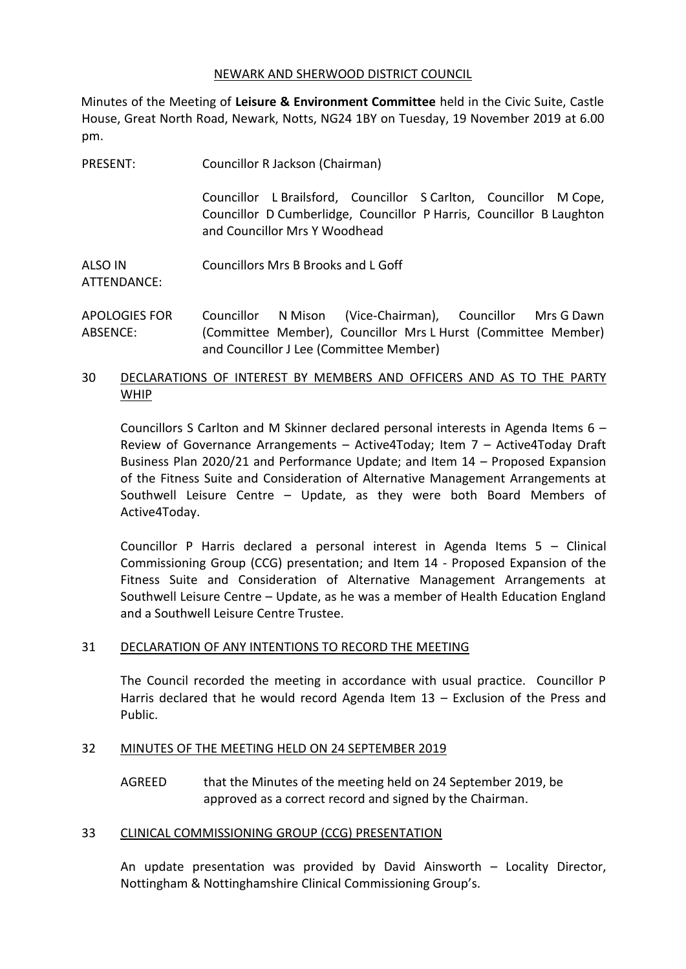#### NEWARK AND SHERWOOD DISTRICT COUNCIL

Minutes of the Meeting of **Leisure & Environment Committee** held in the Civic Suite, Castle House, Great North Road, Newark, Notts, NG24 1BY on Tuesday, 19 November 2019 at 6.00 pm.

| PRESENT: | Councillor R Jackson (Chairman) |
|----------|---------------------------------|
|          |                                 |

Councillor L Brailsford, Councillor S Carlton, Councillor M Cope, Councillor D Cumberlidge, Councillor P Harris, Councillor B Laughton and Councillor Mrs Y Woodhead

ALSO IN Councillors Mrs B Brooks and L Goff

ATTENDANCE:

APOLOGIES FOR ABSENCE: Councillor N Mison (Vice-Chairman), Councillor Mrs G Dawn (Committee Member), Councillor Mrs L Hurst (Committee Member) and Councillor J Lee (Committee Member)

### 30 DECLARATIONS OF INTEREST BY MEMBERS AND OFFICERS AND AS TO THE PARTY WHIP

Councillors S Carlton and M Skinner declared personal interests in Agenda Items 6 – Review of Governance Arrangements – Active4Today; Item 7 – Active4Today Draft Business Plan 2020/21 and Performance Update; and Item 14 – Proposed Expansion of the Fitness Suite and Consideration of Alternative Management Arrangements at Southwell Leisure Centre – Update, as they were both Board Members of Active4Today.

Councillor P Harris declared a personal interest in Agenda Items 5 – Clinical Commissioning Group (CCG) presentation; and Item 14 - Proposed Expansion of the Fitness Suite and Consideration of Alternative Management Arrangements at Southwell Leisure Centre – Update, as he was a member of Health Education England and a Southwell Leisure Centre Trustee.

# 31 DECLARATION OF ANY INTENTIONS TO RECORD THE MEETING

The Council recorded the meeting in accordance with usual practice. Councillor P Harris declared that he would record Agenda Item 13 – Exclusion of the Press and Public.

# 32 MINUTES OF THE MEETING HELD ON 24 SEPTEMBER 2019

AGREED that the Minutes of the meeting held on 24 September 2019, be approved as a correct record and signed by the Chairman.

# 33 CLINICAL COMMISSIONING GROUP (CCG) PRESENTATION

An update presentation was provided by David Ainsworth – Locality Director, Nottingham & Nottinghamshire Clinical Commissioning Group's.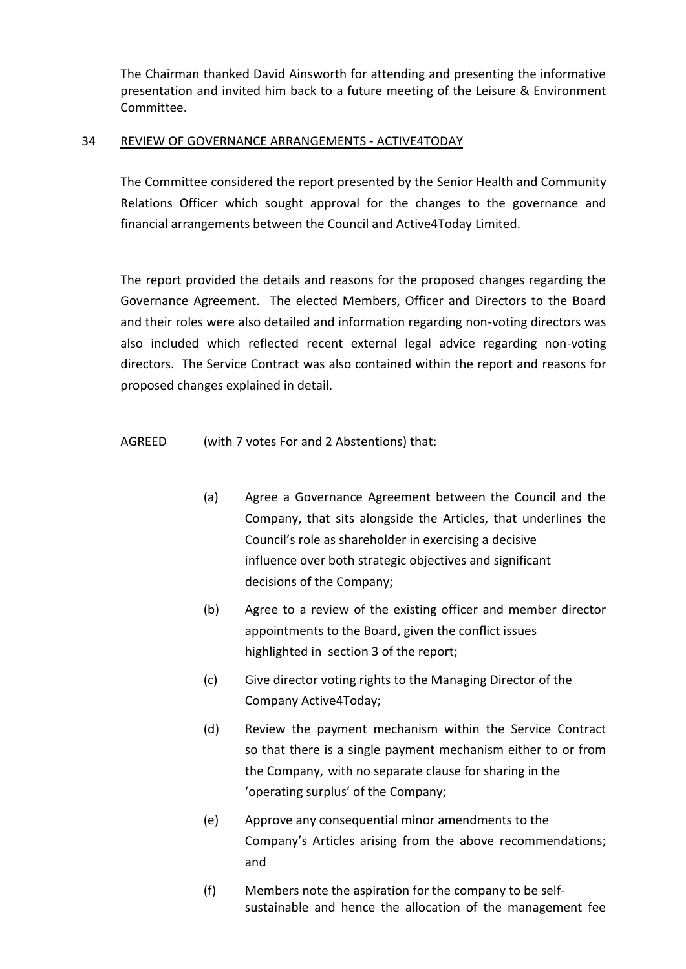The Chairman thanked David Ainsworth for attending and presenting the informative presentation and invited him back to a future meeting of the Leisure & Environment Committee.

#### 34 REVIEW OF GOVERNANCE ARRANGEMENTS - ACTIVE4TODAY

The Committee considered the report presented by the Senior Health and Community Relations Officer which sought approval for the changes to the governance and financial arrangements between the Council and Active4Today Limited.

The report provided the details and reasons for the proposed changes regarding the Governance Agreement. The elected Members, Officer and Directors to the Board and their roles were also detailed and information regarding non-voting directors was also included which reflected recent external legal advice regarding non-voting directors. The Service Contract was also contained within the report and reasons for proposed changes explained in detail.

AGREED (with 7 votes For and 2 Abstentions) that:

- (a) Agree a Governance Agreement between the Council and the Company, that sits alongside the Articles, that underlines the Council's role as shareholder in exercising a decisive influence over both strategic objectives and significant decisions of the Company;
- (b) Agree to a review of the existing officer and member director appointments to the Board, given the conflict issues highlighted in section 3 of the report;
- (c) Give director voting rights to the Managing Director of the Company Active4Today;
- (d) Review the payment mechanism within the Service Contract so that there is a single payment mechanism either to or from the Company, with no separate clause for sharing in the 'operating surplus' of the Company;
- (e) Approve any consequential minor amendments to the Company's Articles arising from the above recommendations; and
- (f) Members note the aspiration for the company to be selfsustainable and hence the allocation of the management fee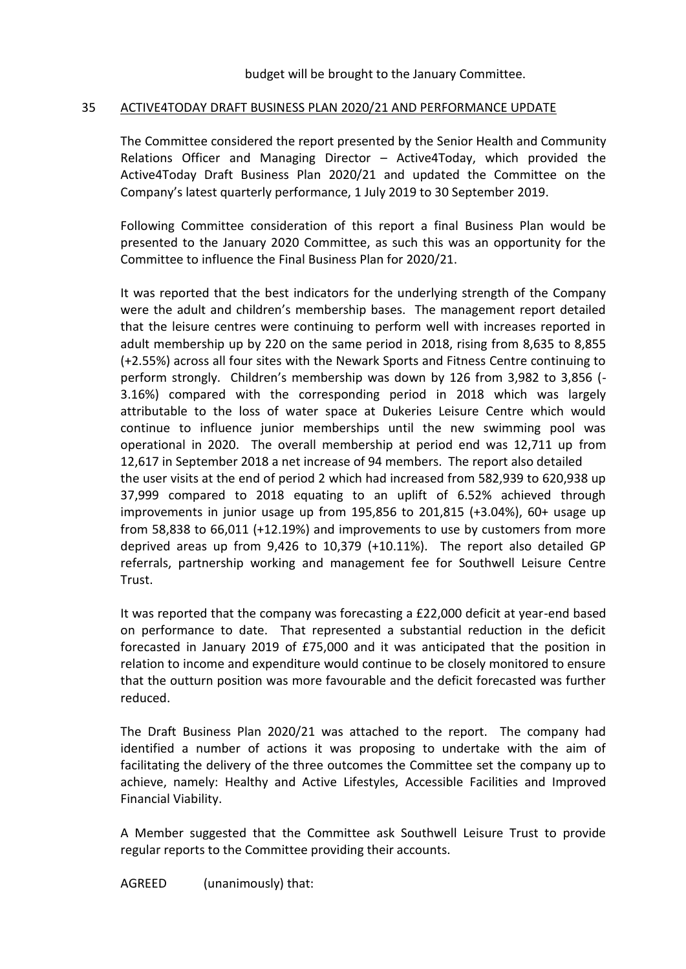## 35 ACTIVE4TODAY DRAFT BUSINESS PLAN 2020/21 AND PERFORMANCE UPDATE

The Committee considered the report presented by the Senior Health and Community Relations Officer and Managing Director – Active4Today, which provided the Active4Today Draft Business Plan 2020/21 and updated the Committee on the Company's latest quarterly performance, 1 July 2019 to 30 September 2019.

Following Committee consideration of this report a final Business Plan would be presented to the January 2020 Committee, as such this was an opportunity for the Committee to influence the Final Business Plan for 2020/21.

It was reported that the best indicators for the underlying strength of the Company were the adult and children's membership bases. The management report detailed that the leisure centres were continuing to perform well with increases reported in adult membership up by 220 on the same period in 2018, rising from 8,635 to 8,855 (+2.55%) across all four sites with the Newark Sports and Fitness Centre continuing to perform strongly. Children's membership was down by 126 from 3,982 to 3,856 (- 3.16%) compared with the corresponding period in 2018 which was largely attributable to the loss of water space at Dukeries Leisure Centre which would continue to influence junior memberships until the new swimming pool was operational in 2020. The overall membership at period end was 12,711 up from 12,617 in September 2018 a net increase of 94 members. The report also detailed the user visits at the end of period 2 which had increased from 582,939 to 620,938 up 37,999 compared to 2018 equating to an uplift of 6.52% achieved through improvements in junior usage up from 195,856 to 201,815 (+3.04%), 60+ usage up from 58,838 to 66,011 (+12.19%) and improvements to use by customers from more deprived areas up from 9,426 to 10,379 (+10.11%). The report also detailed GP referrals, partnership working and management fee for Southwell Leisure Centre Trust.

It was reported that the company was forecasting a £22,000 deficit at year-end based on performance to date. That represented a substantial reduction in the deficit forecasted in January 2019 of £75,000 and it was anticipated that the position in relation to income and expenditure would continue to be closely monitored to ensure that the outturn position was more favourable and the deficit forecasted was further reduced.

The Draft Business Plan 2020/21 was attached to the report. The company had identified a number of actions it was proposing to undertake with the aim of facilitating the delivery of the three outcomes the Committee set the company up to achieve, namely: Healthy and Active Lifestyles, Accessible Facilities and Improved Financial Viability.

A Member suggested that the Committee ask Southwell Leisure Trust to provide regular reports to the Committee providing their accounts.

AGREED (unanimously) that: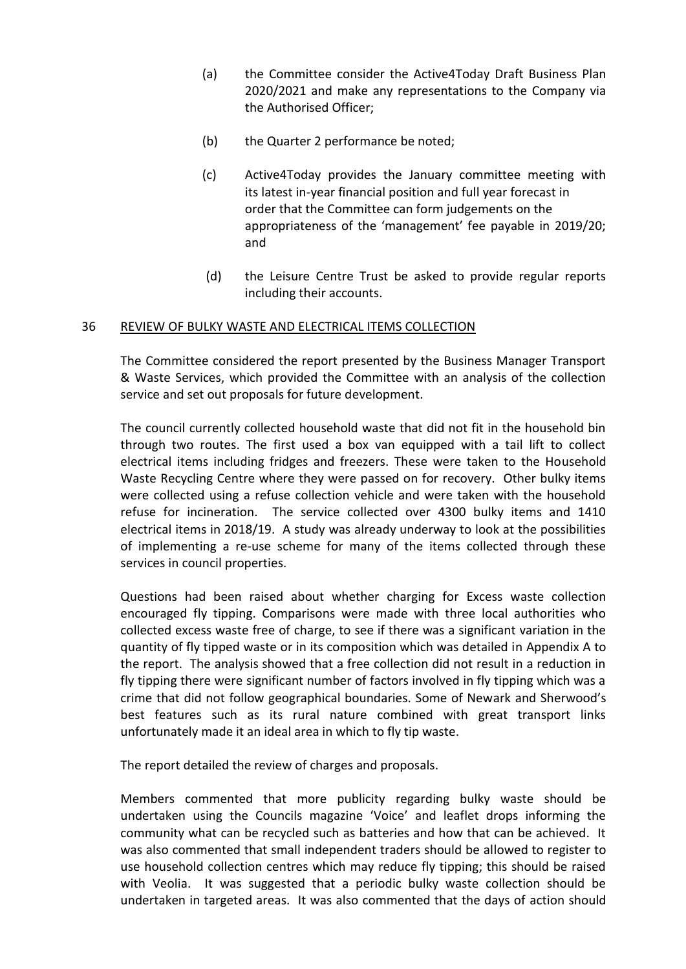- (a) the Committee consider the Active4Today Draft Business Plan 2020/2021 and make any representations to the Company via the Authorised Officer;
- (b) the Quarter 2 performance be noted;
- (c) Active4Today provides the January committee meeting with its latest in-year financial position and full year forecast in order that the Committee can form judgements on the appropriateness of the 'management' fee payable in 2019/20; and
- (d) the Leisure Centre Trust be asked to provide regular reports including their accounts.

#### 36 REVIEW OF BULKY WASTE AND ELECTRICAL ITEMS COLLECTION

The Committee considered the report presented by the Business Manager Transport & Waste Services, which provided the Committee with an analysis of the collection service and set out proposals for future development.

The council currently collected household waste that did not fit in the household bin through two routes. The first used a box van equipped with a tail lift to collect electrical items including fridges and freezers. These were taken to the Household Waste Recycling Centre where they were passed on for recovery. Other bulky items were collected using a refuse collection vehicle and were taken with the household refuse for incineration. The service collected over 4300 bulky items and 1410 electrical items in 2018/19. A study was already underway to look at the possibilities of implementing a re-use scheme for many of the items collected through these services in council properties.

Questions had been raised about whether charging for Excess waste collection encouraged fly tipping. Comparisons were made with three local authorities who collected excess waste free of charge, to see if there was a significant variation in the quantity of fly tipped waste or in its composition which was detailed in Appendix A to the report. The analysis showed that a free collection did not result in a reduction in fly tipping there were significant number of factors involved in fly tipping which was a crime that did not follow geographical boundaries. Some of Newark and Sherwood's best features such as its rural nature combined with great transport links unfortunately made it an ideal area in which to fly tip waste.

The report detailed the review of charges and proposals.

Members commented that more publicity regarding bulky waste should be undertaken using the Councils magazine 'Voice' and leaflet drops informing the community what can be recycled such as batteries and how that can be achieved. It was also commented that small independent traders should be allowed to register to use household collection centres which may reduce fly tipping; this should be raised with Veolia. It was suggested that a periodic bulky waste collection should be undertaken in targeted areas. It was also commented that the days of action should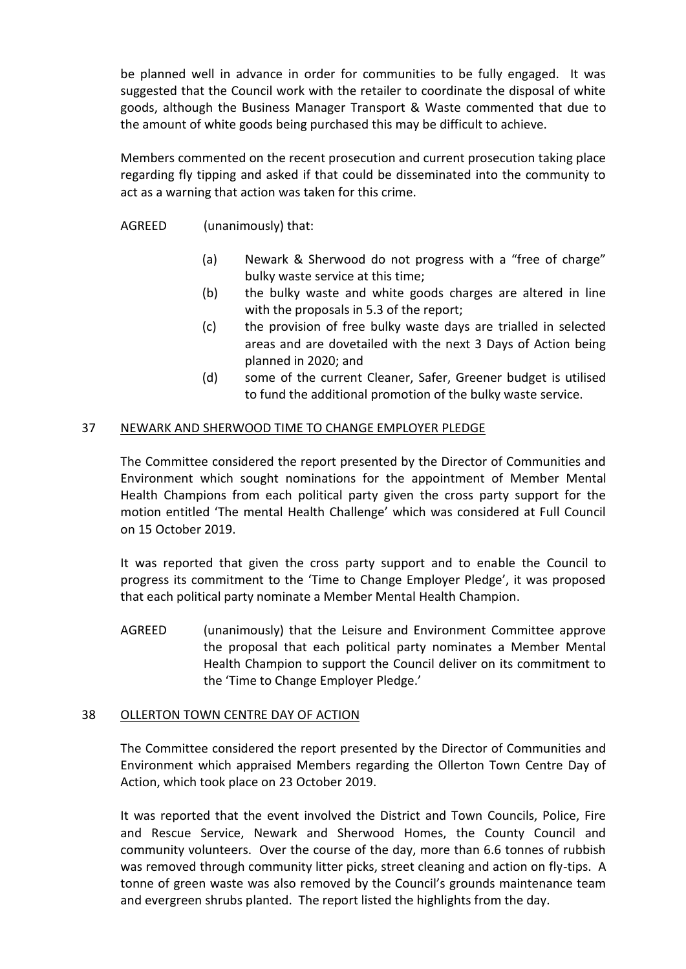be planned well in advance in order for communities to be fully engaged. It was suggested that the Council work with the retailer to coordinate the disposal of white goods, although the Business Manager Transport & Waste commented that due to the amount of white goods being purchased this may be difficult to achieve.

Members commented on the recent prosecution and current prosecution taking place regarding fly tipping and asked if that could be disseminated into the community to act as a warning that action was taken for this crime.

## AGREED (unanimously) that:

- (a) Newark & Sherwood do not progress with a "free of charge" bulky waste service at this time;
- (b) the bulky waste and white goods charges are altered in line with the proposals in 5.3 of the report;
- (c) the provision of free bulky waste days are trialled in selected areas and are dovetailed with the next 3 Days of Action being planned in 2020; and
- (d) some of the current Cleaner, Safer, Greener budget is utilised to fund the additional promotion of the bulky waste service.

### 37 NEWARK AND SHERWOOD TIME TO CHANGE EMPLOYER PLEDGE

The Committee considered the report presented by the Director of Communities and Environment which sought nominations for the appointment of Member Mental Health Champions from each political party given the cross party support for the motion entitled 'The mental Health Challenge' which was considered at Full Council on 15 October 2019.

It was reported that given the cross party support and to enable the Council to progress its commitment to the 'Time to Change Employer Pledge', it was proposed that each political party nominate a Member Mental Health Champion.

AGREED (unanimously) that the Leisure and Environment Committee approve the proposal that each political party nominates a Member Mental Health Champion to support the Council deliver on its commitment to the 'Time to Change Employer Pledge.'

#### 38 OLLERTON TOWN CENTRE DAY OF ACTION

The Committee considered the report presented by the Director of Communities and Environment which appraised Members regarding the Ollerton Town Centre Day of Action, which took place on 23 October 2019.

It was reported that the event involved the District and Town Councils, Police, Fire and Rescue Service, Newark and Sherwood Homes, the County Council and community volunteers. Over the course of the day, more than 6.6 tonnes of rubbish was removed through community litter picks, street cleaning and action on fly-tips. A tonne of green waste was also removed by the Council's grounds maintenance team and evergreen shrubs planted. The report listed the highlights from the day.